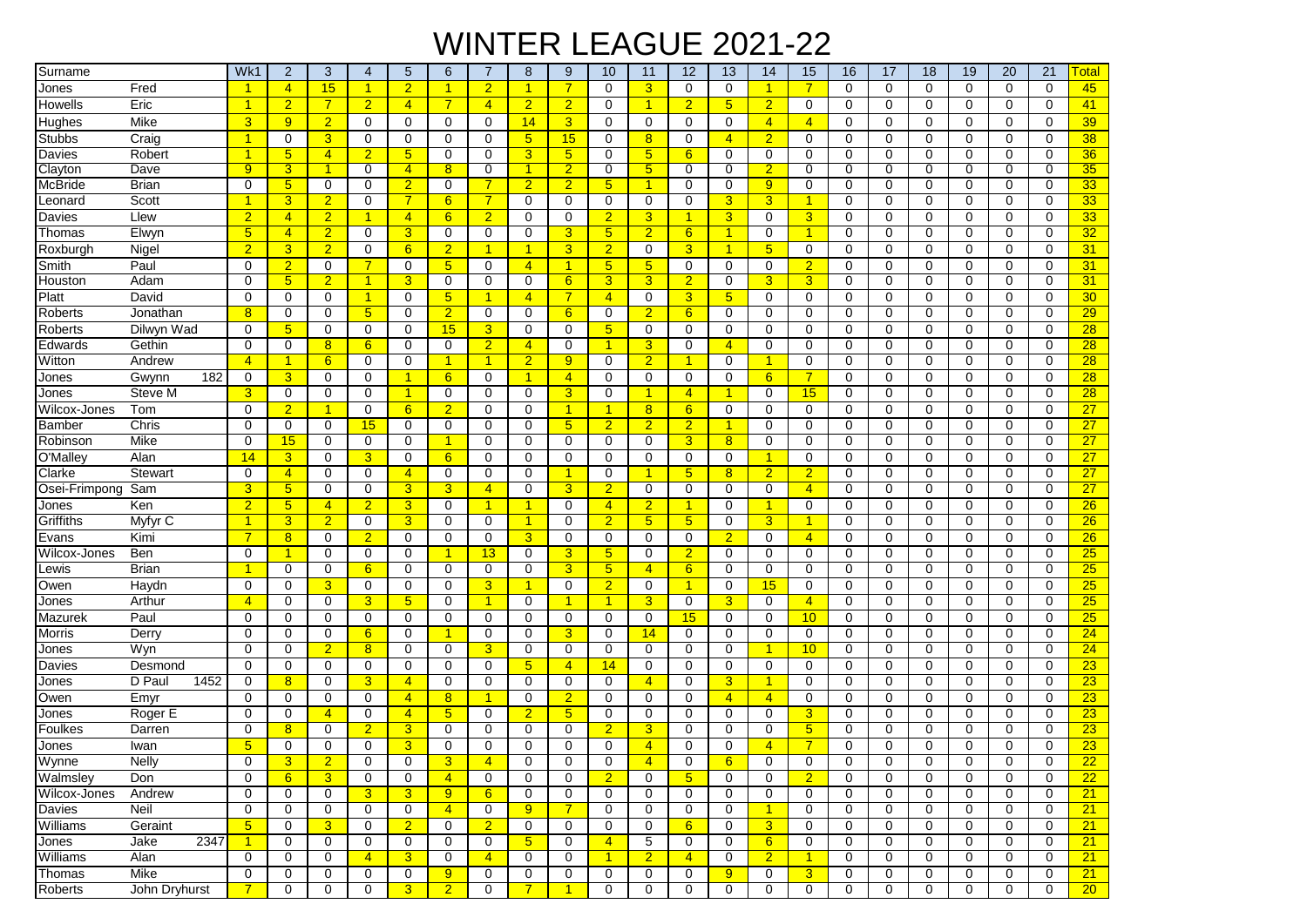## WINTER LEAGUE 2021-22

| Surname        |                | Wk1                  | $\overline{2}$       | 3              | 4              | 5              | 6              | 7                    | 8                    | 9              | 10                   | 11                      | 12              | 13              | 14             | 15             | 16             | 17          | 18             | 19          | 20          | 21             | <b>Total</b>    |
|----------------|----------------|----------------------|----------------------|----------------|----------------|----------------|----------------|----------------------|----------------------|----------------|----------------------|-------------------------|-----------------|-----------------|----------------|----------------|----------------|-------------|----------------|-------------|-------------|----------------|-----------------|
| Jones          | Fred           |                      | $\overline{4}$       | 15             | $\overline{1}$ | $\overline{2}$ | 1              | $\overline{2}$       | $\overline{1}$       | $\overline{7}$ | $\mathbf 0$          | $\overline{3}$          | $\mathbf 0$     | $\mathbf 0$     | $\mathbf{1}$   | $\overline{7}$ | $\mathbf 0$    | $\Omega$    | $\mathbf 0$    | $\mathbf 0$ | $\mathbf 0$ | $\mathbf 0$    | 45              |
| Howells        | Eric           | $\blacktriangleleft$ | $\overline{2}$       | $\overline{7}$ | $\overline{2}$ | $\overline{4}$ | $\overline{7}$ | $\overline{4}$       | $\overline{2}$       | $\overline{2}$ | 0                    | $\overline{\mathbf{1}}$ | $\overline{2}$  | $5\overline{)}$ | $\overline{2}$ | 0              | $\mathbf 0$    | $\mathbf 0$ | 0              | 0           | $\mathbf 0$ | $\mathbf 0$    | 41              |
| Hughes         | Mike           | 3                    | 9                    | $\overline{2}$ | $\mathbf 0$    | 0              | $\mathbf 0$    | $\mathbf 0$          | 14                   | 3              | 0                    | $\mathbf 0$             | 0               | $\mathbf 0$     | $\overline{4}$ | $\overline{4}$ | $\mathbf 0$    | $\mathbf 0$ | $\mathbf 0$    | 0           | 0           | $\mathbf 0$    | 39              |
| <b>Stubbs</b>  | Craig          | $\blacktriangleleft$ | $\mathbf 0$          | 3              | $\mathbf 0$    | $\Omega$       | 0              | $\Omega$             | 5 <sup>5</sup>       | 15             | $\Omega$             | 8                       | $\Omega$        | $\overline{4}$  | $\overline{2}$ | $\Omega$       | $\mathbf 0$    | $\Omega$    | $\mathbf 0$    | $\Omega$    | $\Omega$    | $\Omega$       | 38              |
| Davies         | Robert         | -1                   | 5 <sub>5</sub>       | $\overline{4}$ | $\overline{2}$ | 5              | $\mathbf 0$    | $\mathbf 0$          | 3                    | 5              | 0                    | $5\overline{)}$         | 6               | $\mathbf 0$     | 0              | $\mathbf 0$    | $\mathbf 0$    | $\Omega$    | $\mathbf 0$    | 0           | $\Omega$    | $\mathbf 0$    | 36              |
| Clayton        | Dave           | 9                    | 3                    |                | $\overline{0}$ | $\overline{4}$ | 8              | $\overline{0}$       | 1                    | $\overline{2}$ | 0                    | 5                       | 0               | $\overline{0}$  | $\overline{2}$ | 0              | $\overline{0}$ | 0           | $\overline{0}$ | 0           | 0           | $\overline{0}$ | 35              |
| <b>McBride</b> | <b>Brian</b>   | $\Omega$             | 5 <sup>5</sup>       | $\mathbf 0$    | $\mathbf 0$    | $\overline{2}$ | 0              | $\overline{7}$       | $\overline{2}$       | $\overline{2}$ | 5 <sup>5</sup>       | $\overline{1}$          | 0               | $\mathbf 0$     | 9              | 0              | $\mathbf 0$    | $\Omega$    | $\mathbf 0$    | 0           | $\mathbf 0$ | $\mathbf 0$    | 33              |
| _eonard        | Scott          | $\blacktriangleleft$ | 3                    | $\overline{2}$ | $\mathbf 0$    | $\overline{7}$ | 6              | $\overline{7}$       | $\mathbf 0$          | $\mathbf 0$    | $\mathbf 0$          | $\mathbf 0$             | $\mathbf 0$     | 3               | 3              | 1              | $\mathbf 0$    | $\Omega$    | $\mathbf 0$    | 0           | $\mathbf 0$ | $\mathbf 0$    | 33              |
| Davies         | Llew           | $\overline{2}$       | $\overline{4}$       | $\overline{2}$ | $\mathbf{1}$   | $\overline{4}$ | 6              | $\overline{2}$       | $\mathbf 0$          | $\mathbf 0$    | $\overline{2}$       | 3                       | $\overline{1}$  | 3 <sup>5</sup>  | 0              | 3              | $\mathbf 0$    | 0           | 0              | 0           | $\mathbf 0$ | $\mathbf 0$    | 33              |
| Thomas         | Elwyn          | 5 <sub>5</sub>       | $\overline{4}$       | $\overline{2}$ | $\mathbf 0$    | 3              | 0              | $\mathbf 0$          | 0                    | 3              | 5 <sup>5</sup>       | $\overline{2}$          | 6               | $\overline{1}$  | 0              | 1              | $\mathbf 0$    | 0           | 0              | 0           | 0           | $\mathbf 0$    | 32              |
| Roxburgh       | Nigel          | $\overline{2}$       | $\overline{3}$       | $\overline{2}$ | $\mathbf 0$    | 6              | $\overline{2}$ | 1                    | $\mathbf{1}$         | 3 <sup>5</sup> | $\overline{2}$       | 0                       | $\overline{3}$  | $\overline{1}$  | 5              | $\mathbf 0$    | 0              | 0           | 0              | 0           | $\mathbf 0$ | $\mathbf 0$    | 31              |
| Smith          | Paul           | $\Omega$             | $\overline{2}$       | $\mathbf 0$    | $\overline{7}$ | 0              | 5              | $\mathbf 0$          | $\overline{4}$       | $\overline{1}$ | 5 <sup>5</sup>       | $5\phantom{1}$          | $\mathbf 0$     | $\mathbf 0$     | 0              | $\overline{2}$ | $\mathbf 0$    | $\Omega$    | $\mathbf 0$    | $\mathbf 0$ | $\mathbf 0$ | $\mathbf 0$    | 31              |
| Houston        | Adam           | $\Omega$             | $5\phantom{1}$       | $\overline{2}$ | $\mathbf{1}$   | 3              | 0              | $\mathbf 0$          | 0                    | 6              | 3                    | 3                       | $\overline{2}$  | $\mathbf 0$     | 3              | 3              | $\mathbf 0$    | 0           | 0              | 0           | 0           | 0              | 31              |
| Platt          | David          | $\mathbf 0$          | $\mathbf 0$          | $\mathbf 0$    | $\mathbf{1}$   | 0              | 5              | -1                   | $\overline{4}$       | $\overline{7}$ | $\overline{4}$       | $\mathbf 0$             | $\overline{3}$  | 5 <sup>5</sup>  | 0              | $\mathbf 0$    | $\mathbf 0$    | $\mathbf 0$ | $\mathbf 0$    | 0           | $\mathbf 0$ | $\mathbf 0$    | 30 <sub>o</sub> |
| Roberts        | Jonathan       | 8                    | 0                    | 0              | 5 <sup>5</sup> | 0              | $\overline{2}$ | 0                    | 0                    | 6              | 0                    | $\overline{2}$          | 6               | 0               | 0              | $\Omega$       | 0              | $\Omega$    | $\mathbf 0$    | 0           | 0           | 0              | 29              |
| Roberts        | Dilwyn Wad     | $\Omega$             | 5 <sup>5</sup>       | $\mathbf 0$    | $\mathbf 0$    | 0              | 15             | 3                    | $\mathbf 0$          | $\mathbf 0$    | 5 <sup>5</sup>       | $\mathbf 0$             | $\mathbf 0$     | $\mathbf 0$     | 0              | 0              | $\mathbf 0$    | $\mathbf 0$ | $\mathbf 0$    | $\Omega$    | $\mathbf 0$ | $\Omega$       | $\overline{28}$ |
| Edwards        | Gethin         | $\mathbf 0$          | $\mathbf 0$          | 8              | 6              | 0              | 0              | $\overline{2}$       | $\overline{4}$       | $\mathbf 0$    | $\mathbf{1}$         | 3                       | $\mathbf 0$     | $\overline{4}$  | 0              | 0              | $\mathbf 0$    | $\mathbf 0$ | $\mathbf 0$    | 0           | $\mathbf 0$ | $\mathbf 0$    | 28              |
| Witton         | Andrew         | $\overline{4}$       | $\blacktriangleleft$ | 6              | $\mathbf 0$    | 0              | $\mathbf{1}$   | 1                    | $\overline{2}$       | 9              | $\mathbf 0$          | $\overline{2}$          | 1               | $\mathbf 0$     | $\mathbf{1}$   | $\mathbf 0$    | $\mathbf 0$    | 0           | $\mathbf 0$    | $\mathbf 0$ | $\mathbf 0$ | $\mathbf 0$    | 28              |
| Jones          | 182<br>Gwynn   | $\mathbf 0$          | $\overline{3}$       | $\mathbf 0$    | $\mathbf 0$    | $\mathbf{1}$   | 6              | $\mathbf 0$          | $\blacktriangleleft$ | $\overline{4}$ | 0                    | $\mathbf 0$             | $\mathbf 0$     | $\mathbf 0$     | 6              |                | $\mathbf 0$    | 0           | 0              | 0           | $\mathbf 0$ | $\mathbf 0$    | 28              |
| Jones          | Steve M        | 3                    | 0                    | $\mathbf 0$    | $\mathbf 0$    | $\mathbf{1}$   | 0              | $\mathbf 0$          | $\mathbf 0$          | 3              | 0                    | 1                       | $\overline{4}$  | $\overline{1}$  | 0              | 15             | 0              | 0           | 0              | 0           | $\mathbf 0$ | $\mathbf 0$    | 28              |
| Wilcox-Jones   | Tom            | $\mathbf 0$          | $\overline{2}$       | 1              | 0              | 6              | $\overline{2}$ | $\Omega$             | $\mathbf 0$          | $\mathbf{1}$   | $\mathbf{1}$         | 8                       | 6               | $\mathbf 0$     | 0              | $\mathbf 0$    | $\mathbf 0$    | $\mathbf 0$ | 0              | 0           | $\mathbf 0$ | $\mathbf 0$    | 27              |
| Bamber         | Chris          | $\Omega$             | 0                    | 0              | 15             | 0              | $\Omega$       | $\mathbf 0$          | 0                    | 5 <sup>5</sup> | $\overline{2}$       | $\overline{2}$          | $\overline{2}$  | $\overline{1}$  | 0              | $\Omega$       | $\mathbf 0$    | $\Omega$    | $\mathbf 0$    | 0           | $\mathbf 0$ | 0              | 27              |
| Robinson       | Mike           | $\Omega$             | 15                   | 0              | $\mathbf 0$    | 0              | 1              | 0                    | 0                    | $\mathbf 0$    | $\mathbf 0$          | $\mathbf 0$             | 3               | 8               | 0              | 0              | 0              | $\mathbf 0$ | 0              | 0           | 0           | $\mathbf 0$    | 27              |
| O'Malley       | Alan           | 14                   | 3                    | 0              | 3              | 0              | 6              | 0                    | 0                    | 0              | 0                    | 0                       | 0               | 0               | $\mathbf{1}$   | $\Omega$       | 0              | $\mathbf 0$ | 0              | 0           | 0           | 0              | 27              |
| Clarke         | Stewart        | $\mathbf 0$          | $\overline{4}$       | $\mathbf 0$    | $\mathbf 0$    | $\overline{4}$ | 0              | $\mathbf 0$          | $\mathbf 0$          | $\overline{1}$ | $\mathbf 0$          | 1                       | 5               | 8 <sup>2</sup>  | $\overline{2}$ | $\overline{2}$ | $\mathbf 0$    | 0           | $\mathbf 0$    | $\mathbf 0$ | $\mathbf 0$ | $\mathbf 0$    | $\overline{27}$ |
| Osei-Frimpong  | Sam            | 3                    | 5                    | $\mathbf 0$    | $\mathbf 0$    | 3              | 3              | $\overline{4}$       | $\mathbf 0$          | 3              | $\overline{2}$       | $\mathbf 0$             | $\mathbf 0$     | $\mathbf 0$     | 0              | $\overline{4}$ | $\mathbf 0$    | $\Omega$    | $\mathbf 0$    | 0           | $\mathbf 0$ | $\mathbf 0$    | $\overline{27}$ |
| Jones          | Ken            | $\overline{2}$       | $5\phantom{1}$       | $\overline{4}$ | $\overline{2}$ | 3              | 0              | $\overline{1}$       | $\mathbf{1}$         | $\mathbf 0$    | $\overline{4}$       | $\overline{2}$          | 1               | 0               | $\mathbf{1}$   | 0              | $\mathbf 0$    | 0           | 0              | 0           | $\mathbf 0$ | $\mathbf 0$    | 26              |
| Griffiths      | Myfyr C        | $\blacktriangleleft$ | $\overline{3}$       | $\overline{2}$ | $\mathbf 0$    | 3              | 0              | $\mathbf 0$          | $\overline{1}$       | $\mathbf 0$    | $\overline{2}$       | $5\overline{)}$         | $5\phantom{.0}$ | $\mathbf 0$     | 3              | 1              | $\mathbf 0$    | 0           | 0              | 0           | 0           | $\mathbf 0$    | 26              |
| Evans          | Kimi           | $\overline{7}$       | 8                    | $\mathbf 0$    | $\overline{2}$ | 0              | $\mathbf 0$    | 0                    | 3                    | $\mathbf 0$    | $\mathbf 0$          | 0                       | $\mathbf 0$     | $\overline{2}$  | 0              | $\overline{4}$ | $\mathbf 0$    | $\mathbf 0$ | 0              | 0           | $\mathbf 0$ | $\mathbf 0$    | 26              |
| Wilcox-Jones   | Ben            | 0                    | 1                    | $\mathbf 0$    | $\mathbf 0$    | 0              | 1              | 13                   | $\mathbf 0$          | 3              | 5 <sub>5</sub>       | 0                       | $\overline{2}$  | $\mathbf 0$     | 0              | 0              | $\mathbf 0$    | $\Omega$    | 0              | 0           | $\mathbf 0$ | $\mathbf 0$    | 25              |
| _ewis          | <b>Brian</b>   | $\blacktriangleleft$ | 0                    | $\mathbf 0$    | 6              | 0              | 0              | 0                    | 0                    | 3              | 5 <sup>5</sup>       | $\overline{4}$          | 6               | $\mathbf 0$     | 0              | $\Omega$       | $\mathbf 0$    | 0           | 0              | 0           | 0           | $\mathbf 0$    | 25              |
| Owen           | Haydn          | 0                    | 0                    | 3              | 0              | 0              | 0              | 3                    | $\blacktriangleleft$ | $\mathbf 0$    | $\overline{2}$       | 0                       | 1               | 0               | 15             | 0              | $\mathbf 0$    | 0           | $\mathbf 0$    | 0           | $\mathbf 0$ | 0              | 25              |
| Jones          | Arthur         | $\overline{4}$       | $\Omega$             | $\mathbf 0$    | 3              | 5              | $\Omega$       | $\blacktriangleleft$ | 0                    | $\overline{1}$ | $\blacktriangleleft$ | 3                       | $\Omega$        | 3               | 0              | $\overline{4}$ | $\Omega$       | $\Omega$    | $\mathbf 0$    | 0           | $\Omega$    | $\Omega$       | 25              |
| Mazurek        | Paul           | $\Omega$             | $\mathbf 0$          | $\mathbf 0$    | $\mathbf 0$    | 0              | 0              | $\mathbf 0$          | $\mathbf 0$          | $\mathbf 0$    | $\mathbf 0$          | $\mathbf 0$             | 15              | $\mathbf 0$     | 0              | 10             | $\mathbf 0$    | 0           | $\mathbf 0$    | 0           | $\mathbf 0$ | $\mathbf 0$    | 25              |
| Morris         | Derry          | 0                    | 0                    | $\mathbf 0$    | 6              | 0              | 1              | $\mathbf 0$          | $\mathbf 0$          | 3              | 0                    | 14                      | 0               | 0               | 0              | 0              | $\mathbf 0$    | $\mathbf 0$ | $\mathbf 0$    | 0           | 0           | $\mathbf 0$    | 24              |
| Jones          | Wyn            | $\mathbf 0$          | $\mathbf 0$          | $\overline{2}$ | 8              | 0              | $\mathbf 0$    | 3                    | $\mathbf 0$          | $\mathbf 0$    | $\mathbf 0$          | $\mathbf 0$             | $\mathbf 0$     | $\mathbf 0$     | $\mathbf{1}$   | 10             | $\mathbf 0$    | 0           | 0              | 0           | $\mathbf 0$ | $\mathbf 0$    | 24              |
| Davies         | Desmond        | 0                    | $\mathbf 0$          | $\mathbf 0$    | $\mathbf 0$    | 0              | $\mathbf 0$    | $\mathbf 0$          | $5\overline{)}$      | $\overline{4}$ | 14                   | $\mathbf 0$             | $\mathbf 0$     | $\mathbf 0$     | 0              | $\mathbf 0$    | $\mathbf 0$    | $\Omega$    | 0              | 0           | $\mathbf 0$ | $\mathbf 0$    | 23              |
| Jones          | 1452<br>D Paul | 0                    | 8                    | $\mathbf 0$    | 3              | $\overline{4}$ | 0              | $\mathbf 0$          | 0                    | 0              | 0                    | $\overline{4}$          | 0               | 3               | $\mathbf{1}$   | $\Omega$       | 0              | 0           | 0              | 0           | 0           | 0              | 23              |
| Owen           | Emyr           | 0                    | 0                    | 0              | $\mathbf 0$    | $\overline{4}$ | 8              | -1                   | 0                    | $\overline{2}$ | 0                    | $\mathbf 0$             | 0               | $\overline{4}$  | $\overline{4}$ | 0              | 0              | $\Omega$    | 0              | 0           | $\mathbf 0$ | 0              | 23              |
| Jones          | Roger E        | 0                    | 0                    | $\overline{4}$ | 0              | $\overline{4}$ | 5              | 0                    | $\overline{2}$       | 5 <sup>5</sup> | 0                    | 0                       | 0               | 0               | 0              | 3              | $\mathbf 0$    | $\Omega$    | $\mathbf 0$    | 0           | 0           | 0              | 23              |
| Foulkes        | Darren         | 0                    | 8                    | $\mathbf 0$    | $\overline{2}$ | 3              | $\Omega$       | $\mathbf 0$          | $\mathbf 0$          | 0              | $\overline{2}$       | 3                       | 0               | 0               | 0              | 5              | $\mathbf 0$    | $\Omega$    | $\mathbf 0$    | 0           | $\mathbf 0$ | $\mathbf 0$    | 23              |
| Jones          | Iwan           | 5 <sup>5</sup>       | $\Omega$             | $\mathbf 0$    | $\Omega$       | 3              | $\Omega$       | $\Omega$             | $\Omega$             | $\Omega$       | 0                    | $\overline{4}$          | $\Omega$        | 0               | $\overline{4}$ | 7              | $\Omega$       | $\Omega$    | $\Omega$       | 0           | $\Omega$    | $\mathbf 0$    | 23              |
| Wynne          | <b>Nelly</b>   | 0                    | 3                    | $\overline{2}$ | 0              | 0              | 3              | $\overline{4}$       | 0                    | 0              | 0                    | $\overline{4}$          | 0               | 6               | 0              | 0              | 0              | 0           | 0              | 0           | 0           | 0              | $\overline{22}$ |
| Walmsley       | Don            | $\mathbf 0$          | 6                    | $\overline{3}$ | $\mathbf 0$    | 0              | $\overline{4}$ | $\mathbf 0$          | $\mathbf 0$          | $\mathbf 0$    | $\overline{2}$       | $\mathbf 0$             | 5 <sup>5</sup>  | $\mathbf 0$     | 0              | $\overline{2}$ | $\mathbf 0$    | $\mathbf 0$ | $\mathbf 0$    | $\mathbf 0$ | $\mathbf 0$ | $\mathbf 0$    | $\overline{22}$ |
| Wilcox-Jones   | Andrew         | $\mathbf 0$          | 0                    | $\mathbf 0$    | $\mathbf{3}$   | 3 <sup>5</sup> | 9              | 6                    | 0                    | 0              | 0                    | 0                       | 0               | $\mathbf 0$     | 0              | 0              | 0              | $\mathbf 0$ | 0              | 0           | $\mathbf 0$ | 0              | 21              |
| Davies         | Neil           | 0                    | 0                    | $\mathbf 0$    | $\mathbf 0$    | 0              | $\overline{4}$ | 0                    | 9                    | $\overline{7}$ | 0                    | 0                       | $\mathbf 0$     | $\mathbf 0$     | $\mathbf{1}$   | 0              | 0              | $\mathbf 0$ | 0              | 0           | $\mathbf 0$ | 0              | 21              |
| Williams       | Geraint        | 5 <sup>5</sup>       | 0                    | $\overline{3}$ | $\mathbf 0$    | 2 <sup>1</sup> | 0              | $\overline{2}$       | $\mathbf 0$          | 0              | 0                    | $\mathbf 0$             | 6               | $\mathbf 0$     | 3 <sup>5</sup> | 0              | $\mathbf 0$    | $\mathbf 0$ | 0              | 0           | 0           | 0              | 21              |
| Jones          | 2347<br>Jake   | $\mathbf{1}$         | $\mathbf 0$          | $\mathbf 0$    | $\mathbf 0$    | 0              | 0              | $\mathbf 0$          | 5 <sub>5</sub>       | 0              | $\overline{4}$       | 5                       | $\mathbf 0$     | $\mathbf 0$     | 6              | 0              | $\mathbf 0$    | 0           | 0              | 0           | 0           | 0              | 21              |
| Williams       | Alan           | 0                    | 0                    | 0              | $\overline{4}$ | 3 <sup>5</sup> | 0              | $\overline{4}$       | 0                    | 0              | $\mathbf{1}$         | $\overline{2}$          | $\overline{4}$  | 0               | $\overline{2}$ | $\mathbf{1}$   | 0              | 0           | 0              | 0           | 0           | 0              | 21              |
| Thomas         | Mike           | $\mathbf 0$          | $\mathbf 0$          | 0              | $\mathbf{0}$   | 0              | 9 <sup>°</sup> | $\mathbf 0$          | 0                    | 0              | 0                    | 0                       | 0               | 9               | 0              | 3 <sup>1</sup> | 0              | 0           | 0              | 0           | 0           | 0              | 21              |
| Roberts        | John Dryhurst  | 7 <sup>1</sup>       | 0                    | $\mathbf 0$    | $\mathbf 0$    | 3 <sup>1</sup> | 2 <sub>1</sub> | $\mathbf 0$          | 7 <sup>1</sup>       | $\mathbf{1}$   | $\mathbf 0$          | $\pmb{0}$               | $\mathbf 0$     | $\mathbf 0$     | 0              | $\mathbf 0$    | $\mathbf 0$    | $\mathbf 0$ | 0              | $\mathbf 0$ | $\mathbf 0$ | $\mathbf 0$    | $20-$           |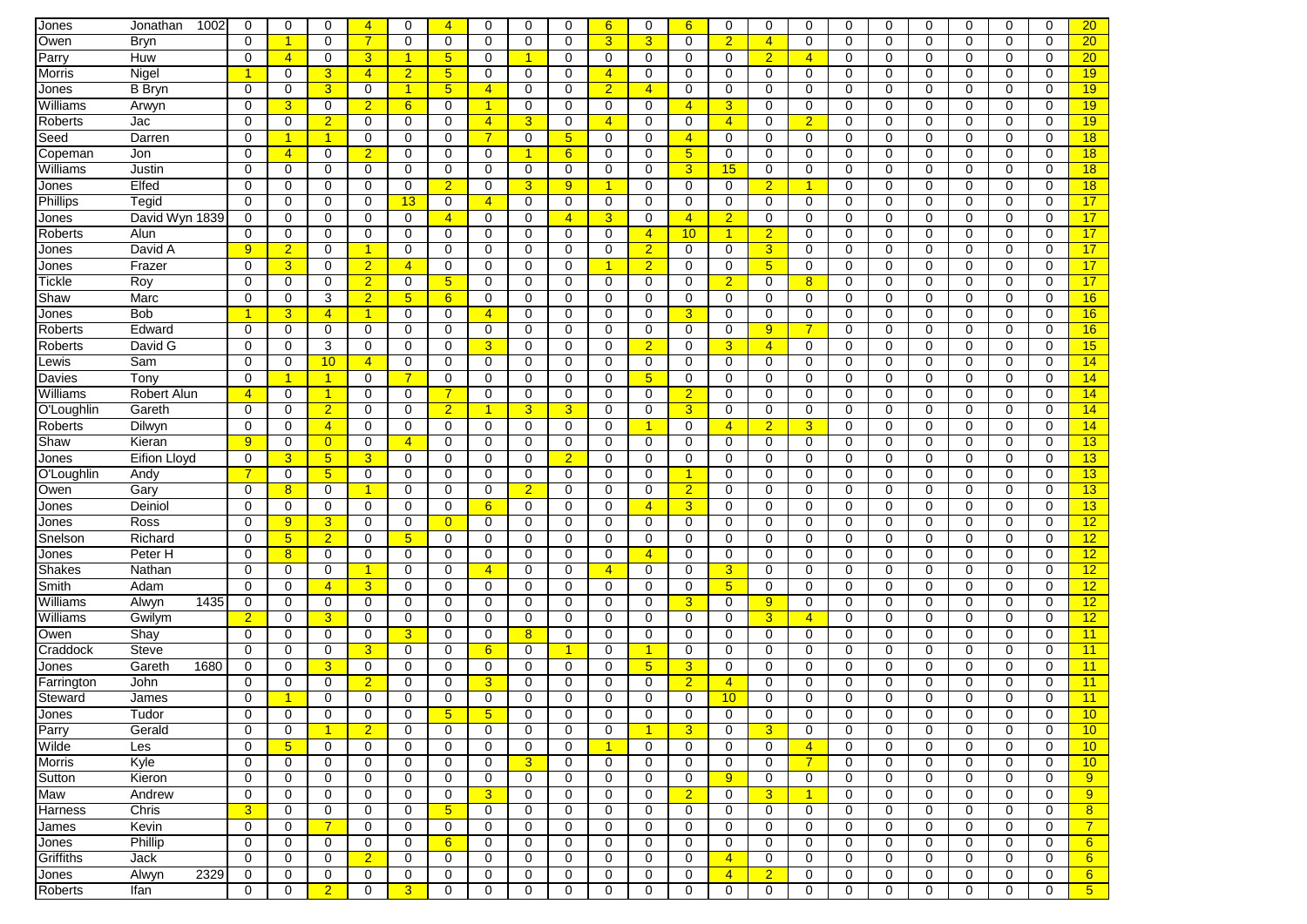| Jones          | 1002<br>Jonathan    | 0              | 0                    | 0               | $\overline{4}$ | 0               | $\overline{4}$         | 0                           | 0                | 0               | 6              | $\Omega$       | 6              | $\Omega$         | $\mathbf 0$    | 0              | $\mathbf 0$      | 0                | 0           | 0            | $\Omega$    | $\mathbf 0$ | 20               |
|----------------|---------------------|----------------|----------------------|-----------------|----------------|-----------------|------------------------|-----------------------------|------------------|-----------------|----------------|----------------|----------------|------------------|----------------|----------------|------------------|------------------|-------------|--------------|-------------|-------------|------------------|
| Owen           | Bryn                | $\mathbf 0$    | $\blacktriangleleft$ | 0               | $\overline{7}$ | $\mathbf 0$     | $\mathbf 0$            | $\mathbf 0$                 | $\mathbf 0$      | $\mathbf 0$     | 3              | 3              | $\mathbf 0$    | $\overline{2}$   | $\overline{4}$ | $\mathbf 0$    | $\mathbf 0$      | 0                | $\mathbf 0$ | 0            | $\mathbf 0$ | $\mathbf 0$ | 20               |
| Parry          | Huw                 | $\mathbf 0$    | $\overline{4}$       | 0               | 3              | $\mathbf{1}$    | 5                      | $\mathbf 0$                 | $\overline{1}$   | $\mathbf 0$     | 0              | 0              | 0              | $\mathbf 0$      | $\overline{2}$ | $\overline{4}$ | $\mathbf 0$      | 0                | $\mathbf 0$ | 0            | $\mathbf 0$ | $\mathbf 0$ | 20               |
| Morris         | Nigel               | 1              | 0                    | 3               | $\overline{4}$ | $\overline{2}$  | 5 <sub>5</sub>         | 0                           | $\mathbf 0$      | 0               | $\overline{4}$ | $\mathbf 0$    | 0              | 0                | $\mathbf 0$    | 0              | $\mathbf 0$      | 0                | $\mathbf 0$ | 0            | 0           | $\mathbf 0$ | 19               |
| Jones          | <b>B</b> Bryn       | $\mathbf 0$    | 0                    | 3               | $\mathbf 0$    | $\overline{1}$  | 5 <sub>5</sub>         | $\overline{4}$              | $\mathbf 0$      | $\mathbf 0$     | $\overline{2}$ | $\overline{4}$ | 0              | $\mathbf 0$      | $\mathbf 0$    | 0              | $\mathbf 0$      | 0                | $\mathbf 0$ | 0            | $\mathbf 0$ | $\mathbf 0$ | 19               |
| Williams       | Arwyn               | $\mathbf 0$    | 3                    | 0               | $\overline{2}$ | 6               | $\mathbf 0$            | -1                          | $\mathbf 0$      | 0               | 0              | 0              | $\overline{4}$ | $\overline{3}$   | $\mathbf 0$    | 0              | $\mathbf 0$      | $\Omega$         | $\mathbf 0$ | 0            | 0           | $\mathbf 0$ | 19               |
| Roberts        | Jac                 | 0              | 0                    | $\overline{2}$  | 0              | 0               | 0                      | $\overline{4}$              | 3                | 0               | $\overline{4}$ | $\Omega$       | 0              | $\overline{4}$   | 0              | $\overline{2}$ | 0                | 0                | 0           | 0            | 0           | 0           | 19               |
| Seed           | Darren              | $\mathbf 0$    | 1                    | $\overline{1}$  | 0              | 0               | 0                      | 7                           | $\mathbf 0$      | $5\overline{)}$ | 0              | 0              | $\overline{4}$ | 0                | $\mathbf 0$    | $\mathbf 0$    | $\mathbf 0$      | 0                | $\mathbf 0$ | 0            | 0           | $\mathbf 0$ | 18               |
| Copeman        | Jon                 | $\Omega$       | $\overline{4}$       | 0               | $\overline{2}$ | $\mathbf 0$     | 0                      | 0                           | 1                | 6               | 0              | $\Omega$       | 5              | $\Omega$         | $\Omega$       | $\mathbf 0$    | $\Omega$         | $\Omega$         | $\Omega$    | $\Omega$     | 0           | $\Omega$    | 18               |
| Williams       | Justin              | $\mathbf 0$    | 0                    | $\mathbf 0$     | 0              | 0               | 0                      | $\mathbf 0$                 | $\mathbf 0$      | 0               | 0              | 0              | 3              | 15               | 0              | $\mathbf 0$    | $\mathbf 0$      | 0                | 0           | 0            | 0           | $\mathbf 0$ | 18               |
| Jones          | Elfed               | $\mathbf 0$    | 0                    | 0               | 0              | 0               | $\overline{2}$         | 0                           | 3                | 9               | $\mathbf{1}$   | 0              | 0              | 0                | $\overline{2}$ | $\mathbf{1}$   | 0                | 0                | 0           | 0            | 0           | $\mathbf 0$ | 18               |
| Phillips       | Tegid               | 0              | 0                    | 0               | $\mathbf 0$    | 13              | $\mathbf 0$            | $\overline{4}$              | $\mathbf 0$      | $\mathbf 0$     | 0              | $\mathbf 0$    | $\Omega$       | $\mathbf 0$      | $\mathbf 0$    | 0              | $\mathbf 0$      | 0                | $\mathbf 0$ | 0            | $\mathbf 0$ | $\mathbf 0$ | 17               |
| <b>Jones</b>   | David Wyn 1839      | 0              | 0                    | 0               | $\mathbf 0$    | 0               | $\overline{4}$         | $\mathbf 0$                 | $\mathbf 0$      | $\overline{4}$  | 3              | $\mathbf 0$    | 4              | $\overline{2}$   | 0              | 0              | $\mathbf 0$      | 0                | $\mathbf 0$ | 0            | $\mathbf 0$ | $\mathbf 0$ | 17               |
| Roberts        | Alun                | 0              | 0                    | 0               | $\mathbf 0$    | $\mathbf 0$     | 0                      | $\mathbf 0$                 | $\mathbf 0$      | $\mathbf 0$     | 0              | $\overline{4}$ | 10             | $\overline{1}$   | $\overline{2}$ | 0              | $\mathbf 0$      | 0                | $\mathbf 0$ | 0            | $\mathbf 0$ | $\mathbf 0$ | 17               |
| Jones          | David A             | 9              | $\overline{2}$       | 0               | $\mathbf{1}$   | 0               | 0                      | 0                           | 0                | 0               | 0              | $\overline{2}$ | $\mathbf 0$    | 0                | 3              | 0              | $\mathbf 0$      | $\Omega$         | 0           | 0            | 0           | $\mathbf 0$ | 17               |
| Jones          | Frazer              | $\mathbf 0$    | 3                    | $\Omega$        | $\overline{2}$ | $\overline{4}$  | $\Omega$               | $\mathbf 0$                 | $\Omega$         | $\Omega$        | $\mathbf{1}$   | $\overline{2}$ | $\Omega$       | $\mathbf 0$      | 5 <sub>5</sub> | 0              | $\Omega$         | $\Omega$         | $\Omega$    | $\Omega$     | $\Omega$    | $\mathbf 0$ | 17               |
| <b>Tickle</b>  | Roy                 | $\mathbf 0$    | 0                    | 0               | $\overline{2}$ | 0               | 5 <sup>5</sup>         | $\mathbf 0$                 | 0                | 0               | 0              | 0              | $\mathbf 0$    | $\overline{2}$   | $\mathbf 0$    | 8              | 0                | 0                | 0           | $\mathbf 0$  | 0           | $\mathbf 0$ | 17               |
| Shaw           | Marc                | 0              | 0                    | 3               | $\overline{2}$ | 5 <sup>5</sup>  | 6                      | 0                           | 0                | 0               | 0              | $\Omega$       | $\Omega$       | 0                | 0              | 0              | 0                | 0                | 0           | 0            | $\Omega$    | $\Omega$    | 16               |
| Jones          | Bob                 | $\overline{1}$ | 3 <sup>5</sup>       | $\overline{4}$  | $\mathbf{1}$   | 0               | $\mathbf 0$            | $\overline{4}$              | $\mathbf 0$      | $\mathbf 0$     | 0              | 0              | 3              | $\mathbf 0$      | $\mathbf 0$    | $\mathbf 0$    | $\mathbf 0$      | 0                | $\mathbf 0$ | 0            | $\mathbf 0$ | $\mathbf 0$ | 16               |
| Roberts        | Edward              | $\mathbf 0$    | $\Omega$             | $\mathbf 0$     | $\mathbf 0$    | 0               | $\mathbf 0$            | $\mathbf 0$                 | $\mathbf 0$      | $\Omega$        | 0              | $\mathbf 0$    | $\mathbf 0$    | $\mathbf 0$      | 9              | $\overline{7}$ | $\mathbf 0$      | 0                | $\mathbf 0$ | 0            | $\mathbf 0$ | $\mathbf 0$ | 16               |
| Roberts        | David G             | 0              | 0                    | 3               | $\mathbf 0$    | $\mathbf 0$     | 0                      | 3                           | $\mathbf 0$      | $\mathbf 0$     | 0              | $\overline{2}$ | $\Omega$       | $\overline{3}$   | $\overline{4}$ | 0              | $\mathbf 0$      | 0                | $\mathbf 0$ | 0            | $\mathbf 0$ | $\mathbf 0$ | 15               |
| Lewis          | Sam                 | $\mathbf 0$    | 0                    | 10              | $\overline{4}$ | 0               | 0                      | $\mathbf 0$                 | $\mathbf 0$      | 0               | 0              | 0              | 0              | 0                | 0              | 0              | $\mathbf 0$      | 0                | $\mathbf 0$ | 0            | 0           | $\mathbf 0$ | 14               |
| Davies         | Tony                | $\mathbf 0$    | 1                    | $\overline{1}$  | $\Omega$       | $\overline{7}$  | $\Omega$               | 0                           | $\mathbf 0$      | $\Omega$        | 0              | 5              | $\Omega$       | 0                | $\mathbf 0$    | $\mathbf 0$    | $\mathbf 0$      | 0                | $\Omega$    | $\Omega$     | $\Omega$    | 0           | 14               |
| Williams       | Robert Alun         | $\overline{4}$ | 0                    | $\overline{1}$  | 0              | 0               | $\overline{7}$         | 0                           | 0                | 0               | 0              | 0              | $\overline{2}$ | 0                | $\mathbf 0$    | 0              | $\mathbf 0$      | 0                | 0           | 0            | 0           | 0           | 14               |
| O'Loughlin     | Gareth              | 0              | 0                    | $\overline{2}$  | 0              | 0               | $\overline{2}$         | 1                           | 3                | 3               | 0              | 0              | 3              | 0                | 0              | 0              | 0                | 0                | 0           | 0            | 0           | 0           | 14               |
| Roberts        | Dilwyn              | $\mathbf 0$    | 0                    | $\overline{4}$  | 0              | $\mathbf 0$     | $\Omega$               | 0                           | $\mathbf 0$      | $\Omega$        | 0              | 1              | 0              | $\overline{4}$   | $\overline{2}$ | 3              | 0                | $\Omega$         | $\Omega$    | $\mathbf 0$  | $\Omega$    | $\mathbf 0$ | 14               |
| Shaw           | Kieran              | 9              | $\Omega$             | $\overline{0}$  | $\Omega$       | $\overline{4}$  | 0                      | $\Omega$                    | $\Omega$         | $\Omega$        | $\Omega$       | $\Omega$       | $\Omega$       | $\Omega$         | $\Omega$       | 0              | $\Omega$         | $\Omega$         | $\Omega$    | $\Omega$     | $\Omega$    | $\Omega$    | 13               |
| Jones          | <b>Eifion Lloyd</b> | 0              | 3                    | $5\phantom{1}$  | 3              | 0               | 0                      | 0                           | $\mathbf 0$      | $\overline{2}$  | 0              | 0              | 0              | 0                | 0              | 0              | 0                | 0                | 0           | 0            | 0           | $\mathbf 0$ | 13               |
| O'Loughlin     | Andy                | $\overline{7}$ | 0                    | $5\overline{)}$ | $\mathbf 0$    | 0               | 0                      | 0                           | $\mathbf 0$      | 0               | 0              | 0              | 1              | 0                | 0              | 0              | 0                | 0                | $\mathbf 0$ | 0            | 0           | 0           | 13               |
| Owen           | Gary                | $\mathbf 0$    | 8                    | $\mathbf 0$     | 1              | $\mathbf 0$     | $\mathbf 0$            | $\mathbf 0$                 | $\overline{2}$   | $\mathbf 0$     | 0              | $\mathbf 0$    | $\overline{2}$ | $\mathbf 0$      | $\mathbf 0$    | 0              | $\mathbf 0$      | 0                | $\mathbf 0$ | 0            | 0           | $\mathbf 0$ | 13               |
| Jones          | Deiniol             | 0              | 0                    | 0               | $\mathbf 0$    | $\mathbf 0$     | 0                      | 6                           | $\mathbf 0$      | $\mathbf 0$     | 0              | $\overline{4}$ | 3              | $\mathbf 0$      | $\mathbf 0$    | 0              | $\mathbf 0$      | 0                | $\mathbf 0$ | 0            | $\mathbf 0$ | $\mathbf 0$ | 13               |
| Jones          | Ross                | 0              | 9                    | 3               | 0              | 0               | $\overline{0}$         | 0                           | 0                | 0               | 0              | 0              | 0              | 0                | 0              | 0              | 0                | 0                | 0           | 0            | 0           | 0           | 12               |
| Snelson        | Richard             | $\mathbf 0$    | 5                    | $\overline{2}$  | $\Omega$       | $5\phantom{.0}$ | 0                      | 0                           | 0                | 0               | 0              | 0              | $\Omega$       | 0                | $\mathbf 0$    | 0              | $\mathbf 0$      | $\Omega$         | $\Omega$    | 0            | 0           | $\mathbf 0$ | 12               |
| Jones          | Peter H             | $\mathbf 0$    | 8                    | $\mathbf 0$     | 0              | $\mathbf 0$     | 0                      | 0                           | 0                | $\Omega$        | 0              | $\overline{4}$ | $\Omega$       | 0                | 0              | $\mathbf 0$    | 0                | 0                | 0           | 0            | 0           | 0           | 12               |
| <b>Shakes</b>  | Nathan              | 0              | 0                    | $\mathbf 0$     | $\mathbf{1}$   | 0               | $\Omega$               | $\overline{4}$              | 0                | 0               | $\overline{4}$ | 0              | 0              | 3                | 0              | 0              | $\mathbf 0$      | $\Omega$         | 0           | 0            | 0           | 0           | 12               |
| Smith          | Adam                | $\mathbf 0$    | 0                    | $\overline{4}$  | 3              | $\mathbf 0$     | 0                      | 0                           | $\mathbf 0$      | 0               | 0              | $\mathbf 0$    | 0              | $5\phantom{.0}$  | 0              | $\mathbf 0$    | $\mathbf 0$      | 0                | $\mathbf 0$ | 0            | 0           | $\mathbf 0$ | 12               |
| Williams       | Alwyn<br>1435       | $\mathbf 0$    | 0                    | $\mathbf 0$     | $\mathbf 0$    | $\mathbf 0$     | $\mathbf 0$            | $\mathbf 0$                 | $\mathbf 0$      | $\mathbf 0$     | 0              | $\mathbf 0$    | 3              | $\mathbf 0$      | 9              | $\mathbf 0$    | $\mathbf 0$      | 0                | $\mathbf 0$ | 0            | $\mathbf 0$ | $\mathbf 0$ | 12               |
| Williams       | Gwilym              | $\overline{2}$ | 0                    | 3               | $\mathbf 0$    | $\mathbf 0$     | $\mathbf 0$            | $\mathbf 0$                 | $\mathbf 0$      | $\mathbf 0$     | 0              | $\mathbf 0$    | 0              | $\mathbf 0$      | 3              | $\overline{4}$ | $\mathbf 0$      | 0                | $\mathbf 0$ | 0            | $\mathbf 0$ | $\mathbf 0$ | 12               |
| Owen           | Shay                | 0              | 0                    | 0               | $\mathbf 0$    | 3               | 0                      | $\mathbf 0$                 | 8                | $\mathbf 0$     | 0              | $\mathbf 0$    | 0              | 0                | 0              | 0              | $\mathbf 0$      | 0                | $\mathbf 0$ | 0            | $\mathbf 0$ | $\mathbf 0$ | 11               |
| Craddock       | <b>Steve</b>        | $\mathbf 0$    | 0                    | 0               | 3              | $\mathbf 0$     | 0                      | 6                           | $\mathbf 0$      | $\overline{1}$  | 0              | 1              | $\mathbf 0$    | 0                | $\mathbf 0$    | 0              | $\mathbf 0$      | 0                | $\mathbf 0$ | $\mathbf 0$  | 0           | $\mathbf 0$ | 11               |
| Jones          | 1680<br>Gareth      | 0              | $\Omega$             | 3               | $\Omega$       | $\mathbf 0$     | $\Omega$               | 0                           | 0                | $\Omega$        | 0              | 5              | 3              | 0                | 0              | 0              | 0                | 0                | $\Omega$    | 0            | 0           | 0           | 11               |
| Farrington     | John                | 0              | 0                    | 0               | $\overline{2}$ | 0               | 0                      | 3                           | 0                | 0               | 0              | $\Omega$       | $\overline{2}$ | $\overline{4}$   | 0              | 0              | $\mathbf 0$      | 0                | $\mathbf 0$ | 0            | 0           | $\mathbf 0$ | 11               |
| Steward        | James               | 0              | 1                    | 0               | $\Omega$       | $\mathbf 0$     | 0                      | $\Omega$                    | 0                | 0               | 0              | 0              | 0              | 10               | 0              | 0              | 0                | 0                | $\Omega$    | $\Omega$     | 0           | 0           | 11               |
|                | Tudor               | 0              |                      | 0               | 0              | 0               |                        |                             |                  |                 | 0              | 0              | 0              |                  | 0              | 0              |                  |                  | 0           | 0            | 0           | 0           | 10               |
| Jones<br>Parry | Gerald              | $\mathbf 0$    | U<br>0               | $\mathbf{1}$    | $\overline{2}$ | 0               | $\circ$<br>$\mathbf 0$ | $\mathbf{p}$<br>$\mathbf 0$ | U<br>$\mathbf 0$ | U<br>$\Omega$   | 0              | $\mathbf{1}$   | 3              | U<br>$\mathbf 0$ | $\overline{3}$ | $\mathbf 0$    | U<br>$\mathbf 0$ | U<br>$\mathbf 0$ | $\mathbf 0$ | $\mathbf 0$  | $\mathbf 0$ | $\mathbf 0$ | 10               |
| Wilde          | Les                 | 0              | 5 <sub>5</sub>       | 0               | 0              | 0               | 0                      | 0                           | 0                | $\mathbf 0$     | $\mathbf{1}$   | 0              | 0              | 0                | 0              | $\overline{4}$ | 0                | 0                | 0           | 0            | 0           | 0           | 10 <sub>1</sub>  |
| <b>Morris</b>  | Kyle                | 0              | 0                    | 0               | $\mathbf 0$    | 0               | 0                      | 0                           | 3                | 0               | 0              | 0              | 0              | 0                | 0              | $\overline{7}$ | 0                | 0                | 0           | 0            | 0           | 0           | 10               |
| Sutton         | Kieron              | $\mathbf 0$    | 0                    | 0               | $\mathbf 0$    | 0               | 0                      | 0                           | $\mathbf 0$      | $\mathbf 0$     | 0              | 0              | 0              | 9                | 0              | 0              | 0                | $\mathbf 0$      | $\mathbf 0$ | 0            | 0           | 0           | 9                |
| Maw            | Andrew              | 0              | 0                    | 0               | $\mathbf 0$    | 0               | 0                      | 3                           | $\mathbf 0$      | 0               | 0              | 0              | $\overline{2}$ | 0                | $\overline{3}$ | $\mathbf{1}$   | 0                | 0                | 0           | $\mathbf 0$  | 0           | 0           | 9                |
| Harness        | Chris               | 3              | 0                    | 0               | 0              | 0               | 5                      | 0                           | 0                | 0               | 0              | 0              | 0              | 0                | 0              | 0              | 0                | 0                | 0           | 0            | 0           | 0           | 8                |
| James          | Kevin               | $\mathbf 0$    | 0                    | $\overline{7}$  | $\mathbf 0$    | 0               | 0                      | $\mathbf 0$                 | 0                | $\mathbf 0$     | 0              | 0              | 0              | 0                | $\mathbf 0$    | 0              | $\mathbf 0$      | $\mathbf 0$      | $\mathbf 0$ | $\mathbf{0}$ | 0           | 0           | $\overline{7}$   |
| Jones          | Phillip             | $\mathbf 0$    | 0                    | 0               | $\mathbf 0$    | 0               | $6^{\circ}$            | 0                           | $\mathbf 0$      | 0               | 0              | $\mathbf 0$    | 0              | 0                | 0              | 0              | $\mathbf 0$      | 0                | 0           | 0            | 0           | 0           | $6 \overline{6}$ |
| Griffiths      | Jack                | $\mathbf 0$    | 0                    | $\mathbf 0$     | $\overline{2}$ | 0               | 0                      | 0                           | $\mathbf 0$      | $\mathbf 0$     | 0              | 0              | 0              | $\overline{4}$   | 0              | 0              | 0                | $\mathbf 0$      | $\mathbf 0$ | $\mathbf 0$  | 0           | 0           | 6                |
|                | Alwyn<br>2329       | 0              | 0                    | 0               | 0              | 0               | 0                      | 0                           | $\mathbf 0$      | 0               | 0              | 0              | 0              | $\overline{4}$   | $\overline{2}$ | 0              | 0                | 0                | 0           | 0            | 0           | 0           | 6                |
| Jones          |                     |                |                      | $\overline{2}$  | $\mathbf 0$    |                 |                        |                             | $\mathbf 0$      | $\mathbf 0$     | 0              | 0              |                |                  | $\mathbf 0$    |                | 0                | 0                | $\mathbf 0$ | 0            |             |             | 5 <sub>5</sub>   |
| Roberts        | Ifan                | 0              | 0                    |                 |                | 3               | 0                      | 0                           |                  |                 |                |                | 0              | 0                |                | 0              |                  |                  |             |              | 0           | 0           |                  |